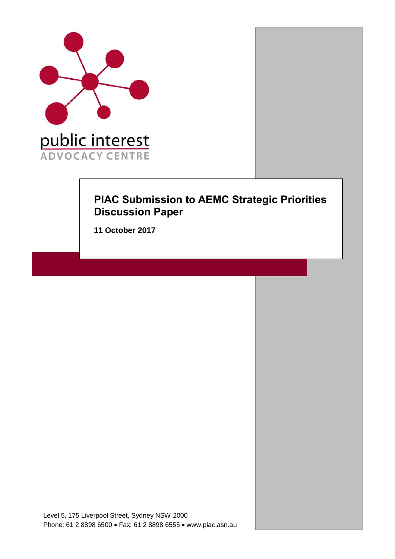

# **PIAC Submission to AEMC Strategic Priorities Discussion Paper**

**11 October 2017**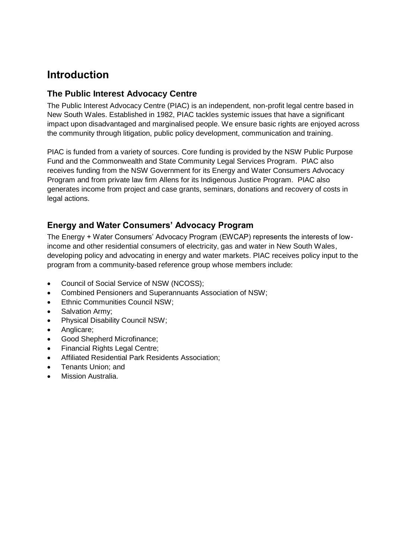# **Introduction**

## **The Public Interest Advocacy Centre**

The Public Interest Advocacy Centre (PIAC) is an independent, non-profit legal centre based in New South Wales. Established in 1982, PIAC tackles systemic issues that have a significant impact upon disadvantaged and marginalised people. We ensure basic rights are enjoyed across the community through litigation, public policy development, communication and training.

PIAC is funded from a variety of sources. Core funding is provided by the NSW Public Purpose Fund and the Commonwealth and State Community Legal Services Program. PIAC also receives funding from the NSW Government for its Energy and Water Consumers Advocacy Program and from private law firm Allens for its Indigenous Justice Program. PIAC also generates income from project and case grants, seminars, donations and recovery of costs in legal actions.

# **Energy and Water Consumers' Advocacy Program**

The Energy + Water Consumers' Advocacy Program (EWCAP) represents the interests of lowincome and other residential consumers of electricity, gas and water in New South Wales, developing policy and advocating in energy and water markets. PIAC receives policy input to the program from a community-based reference group whose members include:

- Council of Social Service of NSW (NCOSS);
- Combined Pensioners and Superannuants Association of NSW;
- Ethnic Communities Council NSW;
- Salvation Army:
- Physical Disability Council NSW;
- Anglicare;
- Good Shepherd Microfinance;
- Financial Rights Legal Centre;
- Affiliated Residential Park Residents Association;
- Tenants Union; and
- Mission Australia.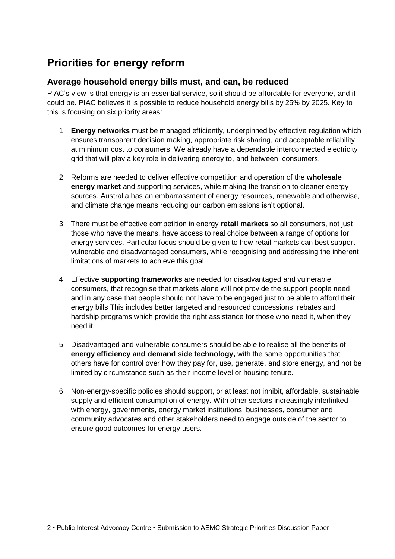# **Priorities for energy reform**

## **Average household energy bills must, and can, be reduced**

PIAC's view is that energy is an essential service, so it should be affordable for everyone, and it could be. PIAC believes it is possible to reduce household energy bills by 25% by 2025. Key to this is focusing on six priority areas:

- 1. **Energy networks** must be managed efficiently, underpinned by effective regulation which ensures transparent decision making, appropriate risk sharing, and acceptable reliability at minimum cost to consumers. We already have a dependable interconnected electricity grid that will play a key role in delivering energy to, and between, consumers.
- 2. Reforms are needed to deliver effective competition and operation of the **wholesale energy market** and supporting services, while making the transition to cleaner energy sources. Australia has an embarrassment of energy resources, renewable and otherwise, and climate change means reducing our carbon emissions isn't optional.
- 3. There must be effective competition in energy **retail markets** so all consumers, not just those who have the means, have access to real choice between a range of options for energy services. Particular focus should be given to how retail markets can best support vulnerable and disadvantaged consumers, while recognising and addressing the inherent limitations of markets to achieve this goal.
- 4. Effective **supporting frameworks** are needed for disadvantaged and vulnerable consumers, that recognise that markets alone will not provide the support people need and in any case that people should not have to be engaged just to be able to afford their energy bills This includes better targeted and resourced concessions, rebates and hardship programs which provide the right assistance for those who need it, when they need it.
- 5. Disadvantaged and vulnerable consumers should be able to realise all the benefits of **energy efficiency and demand side technology,** with the same opportunities that others have for control over how they pay for, use, generate, and store energy, and not be limited by circumstance such as their income level or housing tenure.
- 6. Non-energy-specific policies should support, or at least not inhibit, affordable, sustainable supply and efficient consumption of energy. With other sectors increasingly interlinked with energy, governments, energy market institutions, businesses, consumer and community advocates and other stakeholders need to engage outside of the sector to ensure good outcomes for energy users.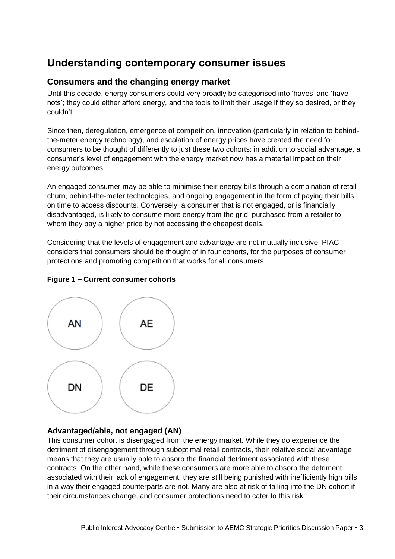# **Understanding contemporary consumer issues**

## **Consumers and the changing energy market**

Until this decade, energy consumers could very broadly be categorised into 'haves' and 'have nots'; they could either afford energy, and the tools to limit their usage if they so desired, or they couldn't.

Since then, deregulation, emergence of competition, innovation (particularly in relation to behindthe-meter energy technology), and escalation of energy prices have created the need for consumers to be thought of differently to just these two cohorts: in addition to social advantage, a consumer's level of engagement with the energy market now has a material impact on their energy outcomes.

An engaged consumer may be able to minimise their energy bills through a combination of retail churn, behind-the-meter technologies, and ongoing engagement in the form of paying their bills on time to access discounts. Conversely, a consumer that is not engaged, or is financially disadvantaged, is likely to consume more energy from the grid, purchased from a retailer to whom they pay a higher price by not accessing the cheapest deals.

Considering that the levels of engagement and advantage are not mutually inclusive, PIAC considers that consumers should be thought of in four cohorts, for the purposes of consumer protections and promoting competition that works for all consumers.



### **Figure 1 – Current consumer cohorts**

### **Advantaged/able, not engaged (AN)**

This consumer cohort is disengaged from the energy market. While they do experience the detriment of disengagement through suboptimal retail contracts, their relative social advantage means that they are usually able to absorb the financial detriment associated with these contracts. On the other hand, while these consumers are more able to absorb the detriment associated with their lack of engagement, they are still being punished with inefficiently high bills in a way their engaged counterparts are not. Many are also at risk of falling into the DN cohort if their circumstances change, and consumer protections need to cater to this risk.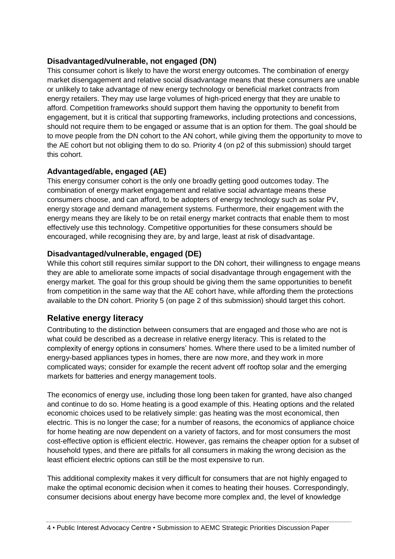#### **Disadvantaged/vulnerable, not engaged (DN)**

This consumer cohort is likely to have the worst energy outcomes. The combination of energy market disengagement and relative social disadvantage means that these consumers are unable or unlikely to take advantage of new energy technology or beneficial market contracts from energy retailers. They may use large volumes of high-priced energy that they are unable to afford. Competition frameworks should support them having the opportunity to benefit from engagement, but it is critical that supporting frameworks, including protections and concessions, should not require them to be engaged or assume that is an option for them. The goal should be to move people from the DN cohort to the AN cohort, while giving them the opportunity to move to the AE cohort but not obliging them to do so. Priority 4 (on p2 of this submission) should target this cohort.

### **Advantaged/able, engaged (AE)**

This energy consumer cohort is the only one broadly getting good outcomes today. The combination of energy market engagement and relative social advantage means these consumers choose, and can afford, to be adopters of energy technology such as solar PV, energy storage and demand management systems. Furthermore, their engagement with the energy means they are likely to be on retail energy market contracts that enable them to most effectively use this technology. Competitive opportunities for these consumers should be encouraged, while recognising they are, by and large, least at risk of disadvantage.

#### **Disadvantaged/vulnerable, engaged (DE)**

While this cohort still requires similar support to the DN cohort, their willingness to engage means they are able to ameliorate some impacts of social disadvantage through engagement with the energy market. The goal for this group should be giving them the same opportunities to benefit from competition in the same way that the AE cohort have, while affording them the protections available to the DN cohort. Priority 5 (on page 2 of this submission) should target this cohort.

# **Relative energy literacy**

Contributing to the distinction between consumers that are engaged and those who are not is what could be described as a decrease in relative energy literacy. This is related to the complexity of energy options in consumers' homes. Where there used to be a limited number of energy-based appliances types in homes, there are now more, and they work in more complicated ways; consider for example the recent advent off rooftop solar and the emerging markets for batteries and energy management tools.

The economics of energy use, including those long been taken for granted, have also changed and continue to do so. Home heating is a good example of this. Heating options and the related economic choices used to be relatively simple: gas heating was the most economical, then electric. This is no longer the case; for a number of reasons, the economics of appliance choice for home heating are now dependent on a variety of factors, and for most consumers the most cost-effective option is efficient electric. However, gas remains the cheaper option for a subset of household types, and there are pitfalls for all consumers in making the wrong decision as the least efficient electric options can still be the most expensive to run.

This additional complexity makes it very difficult for consumers that are not highly engaged to make the optimal economic decision when it comes to heating their houses. Correspondingly, consumer decisions about energy have become more complex and, the level of knowledge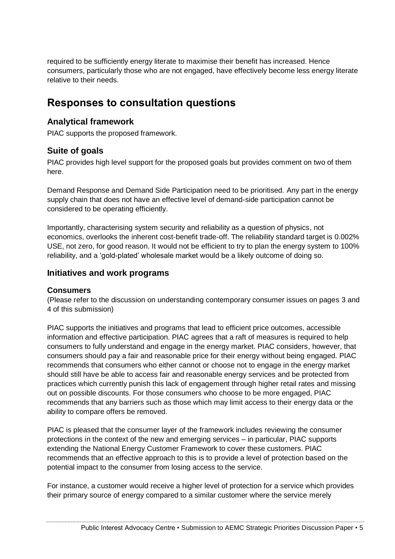required to be sufficiently energy literate to maximise their benefit has increased. Hence consumers, particularly those who are not engaged, have effectively become less energy literate relative to their needs.

# **Responses to consultation questions**

# **Analytical framework**

PIAC supports the proposed framework.

# **Suite of goals**

PIAC provides high level support for the proposed goals but provides comment on two of them here.

Demand Response and Demand Side Participation need to be prioritised. Any part in the energy supply chain that does not have an effective level of demand-side participation cannot be considered to be operating efficiently.

Importantly, characterising system security and reliability as a question of physics, not economics, overlooks the inherent cost-benefit trade-off. The reliability standard target is 0.002% USE, not zero, for good reason. It would not be efficient to try to plan the energy system to 100% reliability, and a 'gold-plated' wholesale market would be a likely outcome of doing so.

# **Initiatives and work programs**

### **Consumers**

(Please refer to the discussion on understanding contemporary consumer issues on pages 3 and 4 of this submission)

PIAC supports the initiatives and programs that lead to efficient price outcomes, accessible information and effective participation. PIAC agrees that a raft of measures is required to help consumers to fully understand and engage in the energy market. PIAC considers, however, that consumers should pay a fair and reasonable price for their energy without being engaged. PIAC recommends that consumers who either cannot or choose not to engage in the energy market should still have be able to access fair and reasonable energy services and be protected from practices which currently punish this lack of engagement through higher retail rates and missing out on possible discounts. For those consumers who choose to be more engaged, PIAC recommends that any barriers such as those which may limit access to their energy data or the ability to compare offers be removed.

PIAC is pleased that the consumer layer of the framework includes reviewing the consumer protections in the context of the new and emerging services – in particular, PIAC supports extending the National Energy Customer Framework to cover these customers. PIAC recommends that an effective approach to this is to provide a level of protection based on the potential impact to the consumer from losing access to the service.

For instance, a customer would receive a higher level of protection for a service which provides their primary source of energy compared to a similar customer where the service merely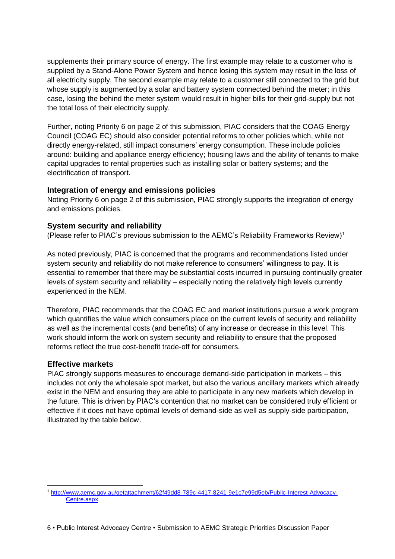supplements their primary source of energy. The first example may relate to a customer who is supplied by a Stand-Alone Power System and hence losing this system may result in the loss of all electricity supply. The second example may relate to a customer still connected to the grid but whose supply is augmented by a solar and battery system connected behind the meter; in this case, losing the behind the meter system would result in higher bills for their grid-supply but not the total loss of their electricity supply.

Further, noting Priority 6 on page 2 of this submission, PIAC considers that the COAG Energy Council (COAG EC) should also consider potential reforms to other policies which, while not directly energy-related, still impact consumers' energy consumption. These include policies around: building and appliance energy efficiency; housing laws and the ability of tenants to make capital upgrades to rental properties such as installing solar or battery systems; and the electrification of transport.

#### **Integration of energy and emissions policies**

Noting Priority 6 on page 2 of this submission, PIAC strongly supports the integration of energy and emissions policies.

### **System security and reliability**

(Please refer to PIAC's previous submission to the AEMC's Reliability Frameworks Review)<sup>1</sup>

As noted previously, PIAC is concerned that the programs and recommendations listed under system security and reliability do not make reference to consumers' willingness to pay. It is essential to remember that there may be substantial costs incurred in pursuing continually greater levels of system security and reliability – especially noting the relatively high levels currently experienced in the NEM.

Therefore, PIAC recommends that the COAG EC and market institutions pursue a work program which quantifies the value which consumers place on the current levels of security and reliability as well as the incremental costs (and benefits) of any increase or decrease in this level. This work should inform the work on system security and reliability to ensure that the proposed reforms reflect the true cost-benefit trade-off for consumers.

#### **Effective markets**

PIAC strongly supports measures to encourage demand-side participation in markets – this includes not only the wholesale spot market, but also the various ancillary markets which already exist in the NEM and ensuring they are able to participate in any new markets which develop in the future. This is driven by PIAC's contention that no market can be considered truly efficient or effective if it does not have optimal levels of demand-side as well as supply-side participation, illustrated by the table below.

<sup>1</sup> [http://www.aemc.gov.au/getattachment/62f49dd8-789c-4417-8241-9e1c7e99d5eb/Public-Interest-Advocacy-](http://www.aemc.gov.au/getattachment/62f49dd8-789c-4417-8241-9e1c7e99d5eb/Public-Interest-Advocacy-Centre.aspx)[Centre.aspx](http://www.aemc.gov.au/getattachment/62f49dd8-789c-4417-8241-9e1c7e99d5eb/Public-Interest-Advocacy-Centre.aspx)

<sup>6</sup> • Public Interest Advocacy Centre • Submission to AEMC Strategic Priorities Discussion Paper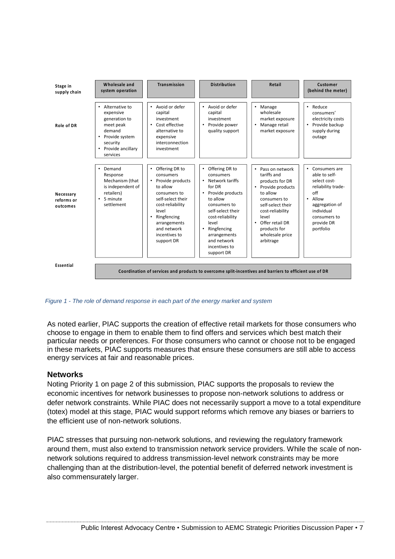| Stage in<br>supply chain            | Wholesale and<br>system operation                                                                                                                            | Transmission                                                                                                                                                                                                                      | <b>Distribution</b>                                                                                                                                                                                                                                                                         | Retail                                                                                                                                                                                                                                                        | Customer<br>(behind the meter)                                                                                                                                                                  |
|-------------------------------------|--------------------------------------------------------------------------------------------------------------------------------------------------------------|-----------------------------------------------------------------------------------------------------------------------------------------------------------------------------------------------------------------------------------|---------------------------------------------------------------------------------------------------------------------------------------------------------------------------------------------------------------------------------------------------------------------------------------------|---------------------------------------------------------------------------------------------------------------------------------------------------------------------------------------------------------------------------------------------------------------|-------------------------------------------------------------------------------------------------------------------------------------------------------------------------------------------------|
| Role of DR                          | Alternative to<br>expensive<br>generation to<br>meet peak<br>demand<br>Provide system<br>$\bullet$<br>security<br>Provide ancillary<br>$\bullet$<br>services | Avoid or defer<br>$\bullet$<br>capital<br>investment<br>Cost effective<br>٠<br>alternative to<br>expensive<br>interconnection<br>investment                                                                                       | Avoid or defer<br>$\bullet$<br>capital<br>investment<br>Provide power<br>٠<br>quality support                                                                                                                                                                                               | Manage<br>۰<br>wholesale<br>market exposure<br>Manage retail<br>$\bullet$<br>market exposure                                                                                                                                                                  | Reduce<br>$\bullet$<br>consumers'<br>electricity costs<br>Provide backup<br>٠<br>supply during<br>outage                                                                                        |
| Necessary<br>reforms or<br>outcomes | Demand<br>Response<br>Mechanism (that<br>is independent of<br>retailers)<br>5 minute<br>settlement                                                           | Offering DR to<br>٠<br>consumers<br>Provide products<br>$\bullet$<br>to allow<br>consumers to<br>self-select their<br>cost-reliability<br>level<br>Ringfencing<br>٠<br>arrangements<br>and network<br>incentives to<br>support DR | Offering DR to<br>$\bullet$<br>consumers<br>Network tariffs<br>$\bullet$<br>for DR<br>Provide products<br>$\bullet$<br>to allow<br>consumers to<br>self-select their<br>cost-reliability<br>level<br>Ringfencing<br>$\bullet$<br>arrangements<br>and network<br>incentives to<br>support DR | Pass on network<br>$\bullet$<br>tariffs and<br>products for DR<br>Provide products<br>$\bullet$<br>to allow<br>consumers to<br>self-select their<br>cost-reliability<br>level<br>Offer retail DR<br>$\bullet$<br>products for<br>wholesale price<br>arbitrage | Consumers are<br>$\bullet$<br>able to self-<br>select cost-<br>reliability trade-<br>$\int$ ff<br>Allow<br>$\bullet$<br>aggregation of<br>individual<br>consumers to<br>provide DR<br>portfolio |
| Essential                           |                                                                                                                                                              |                                                                                                                                                                                                                                   | Coordination of services and products to overcome split-incentives and barriers to efficient use of DR                                                                                                                                                                                      |                                                                                                                                                                                                                                                               |                                                                                                                                                                                                 |

*Figure 1 - The role of demand response in each part of the energy market and system*

As noted earlier, PIAC supports the creation of effective retail markets for those consumers who choose to engage in them to enable them to find offers and services which best match their particular needs or preferences. For those consumers who cannot or choose not to be engaged in these markets, PIAC supports measures that ensure these consumers are still able to access energy services at fair and reasonable prices.

#### **Networks**

Noting Priority 1 on page 2 of this submission, PIAC supports the proposals to review the economic incentives for network businesses to propose non-network solutions to address or defer network constraints. While PIAC does not necessarily support a move to a total expenditure (totex) model at this stage, PIAC would support reforms which remove any biases or barriers to the efficient use of non-network solutions.

PIAC stresses that pursuing non-network solutions, and reviewing the regulatory framework around them, must also extend to transmission network service providers. While the scale of nonnetwork solutions required to address transmission-level network constraints may be more challenging than at the distribution-level, the potential benefit of deferred network investment is also commensurately larger.